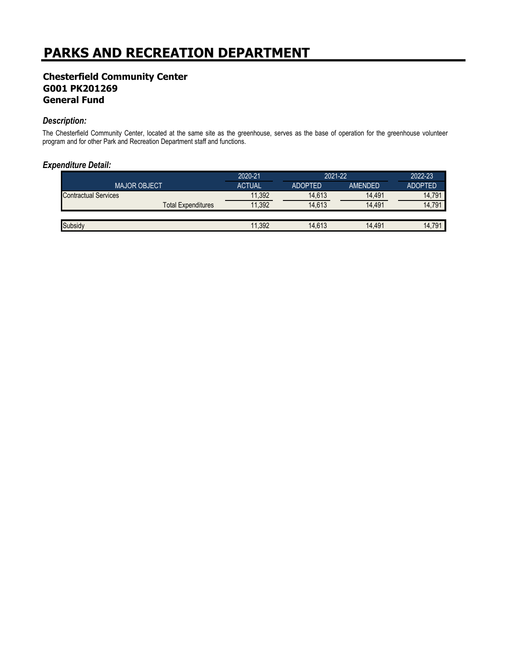## **Chesterfield Community Center G001 PK201269 General Fund**

#### *Description:*

The Chesterfield Community Center, located at the same site as the greenhouse, serves as the base of operation for the greenhouse volunteer program and for other Park and Recreation Department staff and functions.

#### *Expenditure Detail:*

|                             | 2020-21       | 2021-22        |         | 2022-23        |
|-----------------------------|---------------|----------------|---------|----------------|
| <b>MAJOR OBJECT</b>         | <b>ACTUAL</b> | <b>ADOPTED</b> | AMENDED | <b>ADOPTED</b> |
| <b>Contractual Services</b> | 11,392        | 14,613         | 14.491  | 14.791         |
| <b>Total Expenditures</b>   | 11,392        | 14.613         | 14.491  | 14.791         |
|                             |               |                |         |                |
| Subsidy                     | 11,392        | 14,613         | 14.491  | 14.791         |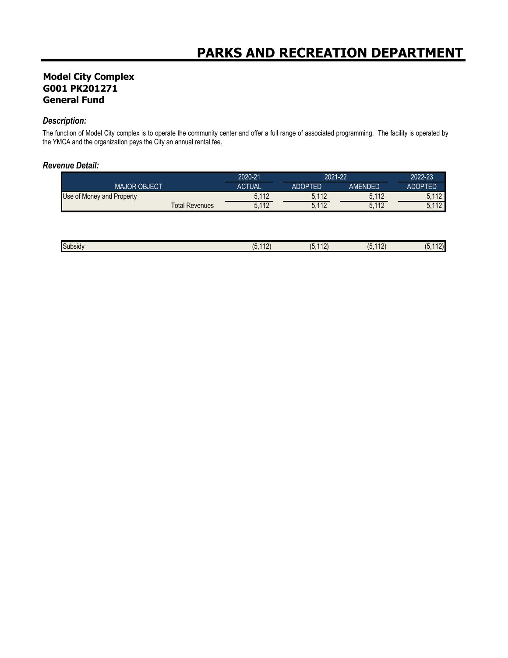## **Model City Complex G001 PK201271 General Fund**

#### *Description:*

The function of Model City complex is to operate the community center and offer a full range of associated programming. The facility is operated by the YMCA and the organization pays the City an annual rental fee.

#### *Revenue Detail:*

|                           | 2020-21       | 2021-22        |                | 2022-23        |
|---------------------------|---------------|----------------|----------------|----------------|
| <b>MAJOR OBJECT</b>       | <b>ACTUAL</b> | <b>ADOPTED</b> | <b>AMENDED</b> | <b>ADOPTED</b> |
| Use of Money and Property | 5.112         | 5.112          | 5,112          | 110            |
| <b>Total Revenues</b>     | 5.112         | 5.112          | 5,112          | 110<br>L       |

| Subsidy<br>$ -$ | $\overline{\phantom{a}}$<br>. . | $\overline{10}$<br>$\overline{\phantom{a}}$<br>IV. | . .<br>1.01<br>U<br>$\sqrt{2}$ | $\sim$<br>. . |
|-----------------|---------------------------------|----------------------------------------------------|--------------------------------|---------------|
|                 |                                 |                                                    |                                |               |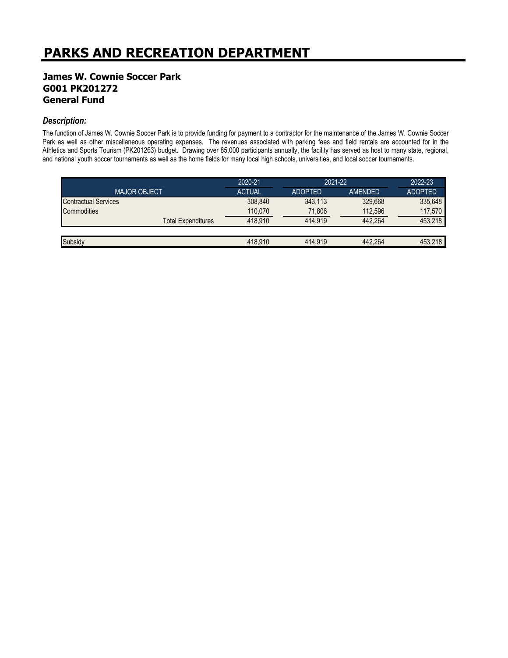## **James W. Cownie Soccer Park G001 PK201272 General Fund**

#### *Description:*

The function of James W. Cownie Soccer Park is to provide funding for payment to a contractor for the maintenance of the James W. Cownie Soccer Park as well as other miscellaneous operating expenses. The revenues associated with parking fees and field rentals are accounted for in the Athletics and Sports Tourism (PK201263) budget. Drawing over 85,000 participants annually, the facility has served as host to many state, regional, and national youth soccer tournaments as well as the home fields for many local high schools, universities, and local soccer tournaments.

|                             | 2020-21       | 2021-22        |         | 2022-23        |
|-----------------------------|---------------|----------------|---------|----------------|
| <b>MAJOR OBJECT</b>         | <b>ACTUAL</b> | <b>ADOPTED</b> | AMENDED | <b>ADOPTED</b> |
| <b>Contractual Services</b> | 308,840       | 343.113        | 329.668 | 335,648        |
| Commodities                 | 110.070       | 71,806         | 112,596 | 117,570        |
| <b>Total Expenditures</b>   | 418.910       | 414.919        | 442.264 | 453.218        |
|                             |               |                |         |                |
| Subsidy                     | 418.910       | 414.919        | 442.264 | 453.218        |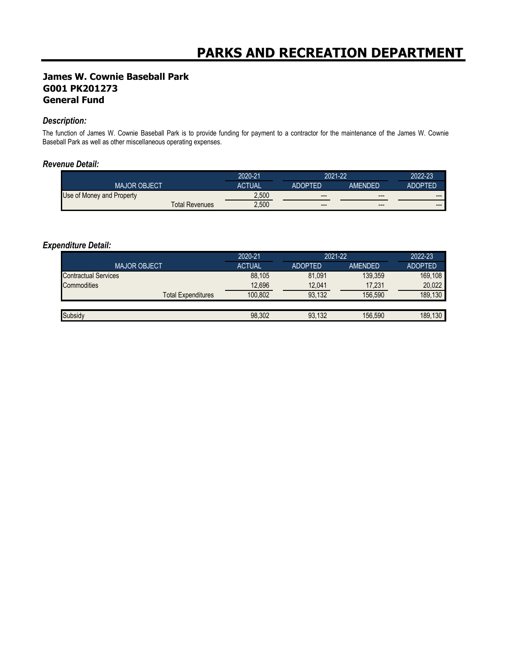## **James W. Cownie Baseball Park G001 PK201273 General Fund**

#### *Description:*

The function of James W. Cownie Baseball Park is to provide funding for payment to a contractor for the maintenance of the James W. Cownie Baseball Park as well as other miscellaneous operating expenses.

#### *Revenue Detail:*

|                           | 2020-21       | 2021-22 |         | 2022-23 |
|---------------------------|---------------|---------|---------|---------|
| <b>MAJOR OBJECT</b>       | <b>ACTUAL</b> | ADOPTED | AMENDED | ADOPTED |
| Use of Money and Property | 2,500         | $---$   | $---$   | $---$   |
| Total Revenues            | 2,500         | $---$   | $---$   | ---     |

### *Expenditure Detail:*

|                             | 2020-21       | 2021-22        |                | 2022-23        |
|-----------------------------|---------------|----------------|----------------|----------------|
| <b>MAJOR OBJECT</b>         | <b>ACTUAL</b> | <b>ADOPTED</b> | <b>AMENDED</b> | <b>ADOPTED</b> |
| <b>Contractual Services</b> | 88,105        | 81,091         | 139.359        | 169.108        |
| <b>Commodities</b>          | 12,696        | 12,041         | 17,231         | 20,022         |
| <b>Total Expenditures</b>   | 100.802       | 93.132         | 156.590        | 189,130        |
|                             |               |                |                |                |
| Subsidy                     | 98,302        | 93.132         | 156.590        | 189.130        |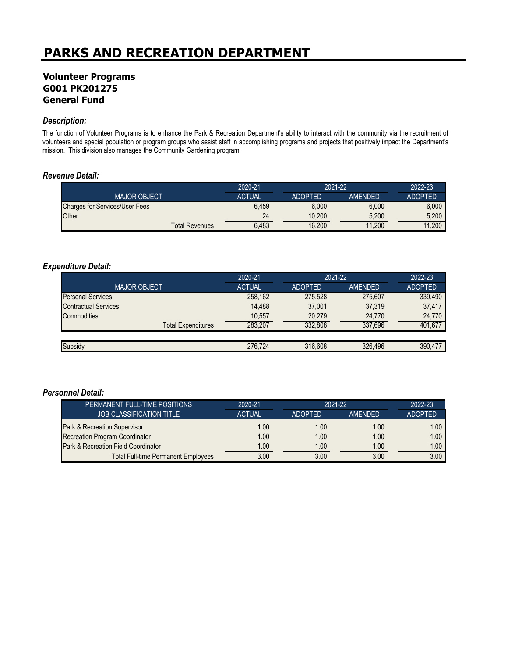## **Volunteer Programs G001 PK201275 General Fund**

#### *Description:*

The function of Volunteer Programs is to enhance the Park & Recreation Department's ability to interact with the community via the recruitment of volunteers and special population or program groups who assist staff in accomplishing programs and projects that positively impact the Department's mission. This division also manages the Community Gardening program.

#### *Revenue Detail:*

|                                       |                       | 2020-21       | 2021-22        |                | 2022-23        |
|---------------------------------------|-----------------------|---------------|----------------|----------------|----------------|
| <b>MAJOR OBJECT</b>                   |                       | <b>ACTUAL</b> | <b>ADOPTED</b> | <b>AMENDED</b> | <b>ADOPTED</b> |
| <b>Charges for Services/User Fees</b> |                       | 6,459         | 6.000          | 6.000          | 6.000          |
| Other                                 |                       | 24            | 10.200         | 5,200          | 5.200          |
|                                       | <b>Total Revenues</b> | 6,483         | 16,200         | 11,200         | 11.200         |

#### *Expenditure Detail:*

|                             | 2020-21       | 2021-22        |         | 2022-23        |
|-----------------------------|---------------|----------------|---------|----------------|
| <b>MAJOR OBJECT</b>         | <b>ACTUAL</b> | <b>ADOPTED</b> | AMENDED | <b>ADOPTED</b> |
| <b>Personal Services</b>    | 258,162       | 275.528        | 275.607 | 339,490        |
| <b>Contractual Services</b> | 14,488        | 37.001         | 37,319  | 37,417         |
| Commodities                 | 10,557        | 20,279         | 24,770  | 24,770         |
| <b>Total Expenditures</b>   | 283.207       | 332.808        | 337.696 | 401,677        |
|                             |               |                |         |                |
| Subsidy                     | 276.724       | 316,608        | 326.496 | 390.477        |

| PERMANENT FULL-TIME POSITIONS              | 2020-21       | $2021 - 22$    |                | 2022-23        |
|--------------------------------------------|---------------|----------------|----------------|----------------|
| <b>JOB CLASSIFICATION TITLE</b>            | <b>ACTUAL</b> | <b>ADOPTED</b> | <b>AMENDED</b> | <b>ADOPTED</b> |
| Park & Recreation Supervisor               | 1.00          | 1.00           | 1.00           | 1.00           |
| <b>Recreation Program Coordinator</b>      | 1.00          | 1.00           | 1.00           | 1.00           |
| Park & Recreation Field Coordinator        | 1.00          | 1.00           | 1.00           | 1.00           |
| <b>Total Full-time Permanent Employees</b> | 3.00          | 3.00           | 3.00           | 3.00           |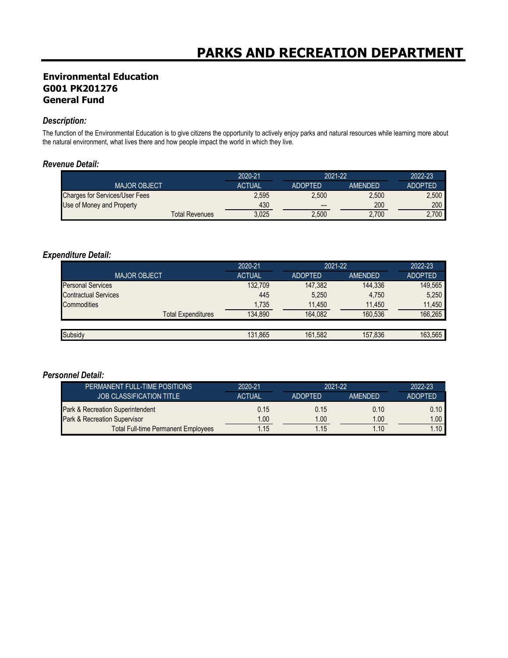## **Environmental Education G001 PK201276 General Fund**

#### *Description:*

The function of the Environmental Education is to give citizens the opportunity to actively enjoy parks and natural resources while learning more about the natural environment, what lives there and how people impact the world in which they live.

#### *Revenue Detail:*

|                                       | 2020-21       | 2021-22        |                | 2022-23        |
|---------------------------------------|---------------|----------------|----------------|----------------|
| <b>MAJOR OBJECT</b>                   | <b>ACTUAL</b> | <b>ADOPTED</b> | <b>AMENDED</b> | <b>ADOPTED</b> |
| <b>Charges for Services/User Fees</b> | 2.595         | 2.500          | 2.500          | 2.500          |
| Use of Money and Property             | 430           | $---$          | 200            | 200            |
| <b>Total Revenues</b>                 | 3.025         | 2,500          | 2.700          | 2,700          |

#### *Expenditure Detail:*

|                             | 2020-21       | 2021-22        |         | 2022-23        |
|-----------------------------|---------------|----------------|---------|----------------|
| <b>MAJOR OBJECT</b>         | <b>ACTUAL</b> | <b>ADOPTED</b> | AMENDED | <b>ADOPTED</b> |
| <b>Personal Services</b>    | 132,709       | 147,382        | 144,336 | 149,565        |
| <b>Contractual Services</b> | 445           | 5,250          | 4,750   | 5,250          |
| Commodities                 | 1,735         | 11,450         | 11,450  | 11.450         |
| <b>Total Expenditures</b>   | 134.890       | 164.082        | 160.536 | 166,265        |
|                             |               |                |         |                |
| Subsidy                     | 131.865       | 161,582        | 157,836 | 163,565        |

| PERMANENT FULL-TIME POSITIONS              | 2020-21       | 2021-22        |                | 2022-23           |
|--------------------------------------------|---------------|----------------|----------------|-------------------|
| <b>JOB CLASSIFICATION TITLE</b>            | <b>ACTUAL</b> | <b>ADOPTED</b> | <b>AMENDED</b> | <b>ADOPTED</b>    |
| Park & Recreation Superintendent           | 0.15          | 0.15           | 0.10           | $0.10$            |
| Park & Recreation Supervisor               | 1.00          | 1.00           | 1.00           | 1.00 <sub>1</sub> |
| <b>Total Full-time Permanent Employees</b> | 1.15          | 1.15           | 1.10           | 1.10              |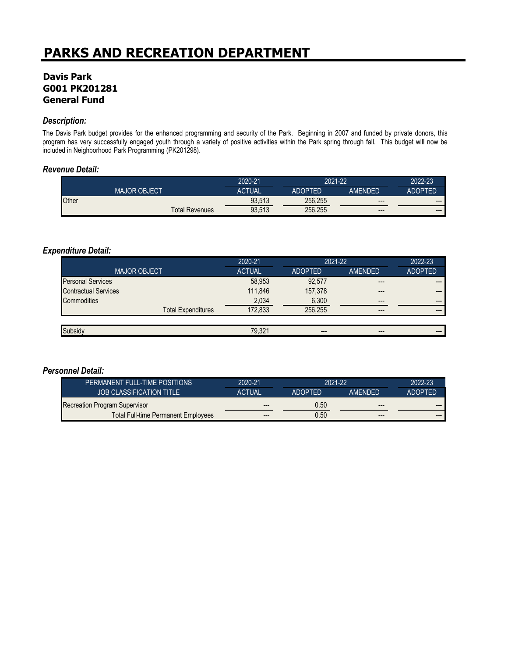## **Davis Park G001 PK201281 General Fund**

#### *Description:*

The Davis Park budget provides for the enhanced programming and security of the Park. Beginning in 2007 and funded by private donors, this program has very successfully engaged youth through a variety of positive activities within the Park spring through fall. This budget will now be included in Neighborhood Park Programming (PK201298).

#### *Revenue Detail:*

|       |                     |                       | 2020-21       | 2021-22        |                | $2022 - 23$            |
|-------|---------------------|-----------------------|---------------|----------------|----------------|------------------------|
|       | <b>MAJOR OBJECT</b> |                       | <b>ACTUAL</b> | <b>ADOPTED</b> | <b>AMENDED</b> | ADOPTED                |
| Other |                     |                       | 93,513        | 256,255        | $---$          | $\qquad \qquad \cdots$ |
|       |                     | <b>Total Revenues</b> | 93,513        | 256,255        | $---$          | $\qquad \qquad \cdots$ |

#### *Expenditure Detail:*

|                             | 2020-21       | 2021-22        |                        | 2022-23        |
|-----------------------------|---------------|----------------|------------------------|----------------|
| <b>MAJOR OBJECT</b>         | <b>ACTUAL</b> | <b>ADOPTED</b> | <b>AMENDED</b>         | <b>ADOPTED</b> |
| <b>Personal Services</b>    | 58,953        | 92,577         | $---$                  | $---$          |
| <b>Contractual Services</b> | 111.846       | 157,378        | $---$                  | $---$          |
| <b>Commodities</b>          | 2,034         | 6,300          | $---$                  | $---$          |
| <b>Total Expenditures</b>   | 172,833       | 256.255        | $---$                  | $---$          |
|                             |               |                |                        |                |
| Subsidy                     | 79,321        | $---$          | $\qquad \qquad \cdots$ | $---$          |

| PERMANENT FULL-TIME POSITIONS              | 2020-21       | 2021-22        |                | 2022-23        |
|--------------------------------------------|---------------|----------------|----------------|----------------|
| <b>JOB CLASSIFICATION TITLE</b>            | <b>ACTUAL</b> | <b>ADOPTED</b> | <b>AMENDED</b> | <b>ADOPTED</b> |
| Recreation Program Supervisor              | $- - -$       | 0.50           | $- - -$        | ---            |
| <b>Total Full-time Permanent Employees</b> | $--$          | 0.50           | $- - -$        | ---            |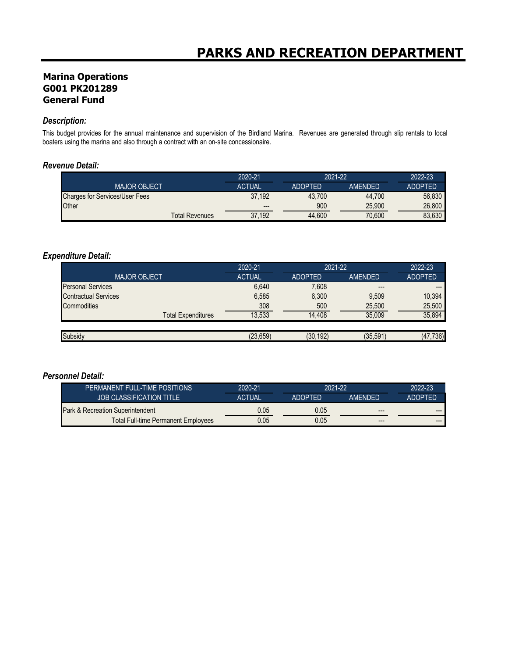## **Marina Operations G001 PK201289 General Fund**

#### *Description:*

This budget provides for the annual maintenance and supervision of the Birdland Marina. Revenues are generated through slip rentals to local boaters using the marina and also through a contract with an on-site concessionaire.

#### *Revenue Detail:*

|                                       | 2020-21                | 2021-22        |                | 2022-23        |
|---------------------------------------|------------------------|----------------|----------------|----------------|
| <b>MAJOR OBJECT</b>                   | <b>ACTUAL</b>          | <b>ADOPTED</b> | <b>AMENDED</b> | <b>ADOPTED</b> |
| <b>Charges for Services/User Fees</b> | 37.192                 | 43.700         | 44.700         | 56.830         |
| Other                                 | $\qquad \qquad \cdots$ | 900            | 25.900         | 26.800         |
| <b>Total Revenues</b>                 | 37.192                 | 44.600         | 70.600         | 83.630         |

#### *Expenditure Detail:*

|                             | 2020-21       | 2021-22        |           | 2022-23        |
|-----------------------------|---------------|----------------|-----------|----------------|
| <b>MAJOR OBJECT</b>         | <b>ACTUAL</b> | <b>ADOPTED</b> | AMENDED   | <b>ADOPTED</b> |
| <b>Personal Services</b>    | 6,640         | 7,608          | $---$     |                |
| <b>Contractual Services</b> | 6,585         | 6,300          | 9,509     | 10,394         |
| <b>Commodities</b>          | 308           | 500            | 25,500    | 25,500         |
| <b>Total Expenditures</b>   | 13,533        | 14,408         | 35,009    | 35,894         |
|                             |               |                |           |                |
| Subsidy                     | (23, 659)     | (30, 192)      | (35, 591) | (47, 736)      |

| PERMANENT FULL-TIME POSITIONS       | 2020-21       |                | 2021-22        |                |
|-------------------------------------|---------------|----------------|----------------|----------------|
| <b>JOB CLASSIFICATION TITLE</b>     | <b>ACTUAL</b> | <b>ADOPTED</b> | <b>AMFNDFD</b> | <b>ADOPTED</b> |
| Park & Recreation Superintendent    | 0.05          | 0.05           | $---$          | $- - -$        |
| Total Full-time Permanent Employees | 0.05          | 0.05           | $- - -$        | $- - -$        |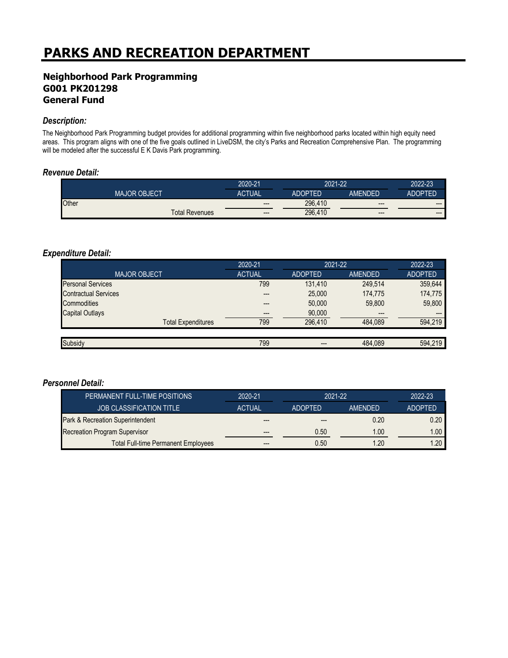## **Neighborhood Park Programming G001 PK201298 General Fund**

#### *Description:*

The Neighborhood Park Programming budget provides for additional programming within five neighborhood parks located within high equity need areas. This program aligns with one of the five goals outlined in LiveDSM, the city's Parks and Recreation Comprehensive Plan. The programming will be modeled after the successful E K Davis Park programming.

#### *Revenue Detail:*

|                     |                       | 2020-21       | 2021-22        |         | 2022-23        |
|---------------------|-----------------------|---------------|----------------|---------|----------------|
| <b>MAJOR OBJECT</b> |                       | <b>ACTUAL</b> | <b>ADOPTED</b> | AMENDED | <b>ADOPTED</b> |
| Other               |                       | $---$         | 296,410        | $---$   | $---$          |
|                     | <b>Total Revenues</b> | $---$         | 296.410        | $--$    | $--$           |

#### *Expenditure Detail:*

|                             | 2020-21       | 2021-22        |                | 2022-23        |
|-----------------------------|---------------|----------------|----------------|----------------|
| <b>MAJOR OBJECT</b>         | <b>ACTUAL</b> | <b>ADOPTED</b> | <b>AMENDED</b> | <b>ADOPTED</b> |
| <b>Personal Services</b>    | 799           | 131.410        | 249.514        | 359,644        |
| <b>Contractual Services</b> |               | 25,000         | 174,775        | 174,775        |
| Commodities                 |               | 50,000         | 59,800         | 59,800         |
| <b>Capital Outlays</b>      | ---           | 90,000         | $---$          |                |
| <b>Total Expenditures</b>   | 799           | 296.410        | 484.089        | 594,219        |
|                             |               |                |                |                |
| Subsidy                     | 799           | ---            | 484.089        | 594.219        |

| PERMANENT FULL-TIME POSITIONS              | 2020-21       | 2021-22        |                | 2022-23        |
|--------------------------------------------|---------------|----------------|----------------|----------------|
| <b>JOB CLASSIFICATION TITLE</b>            | <b>ACTUAL</b> | <b>ADOPTED</b> | <b>AMENDED</b> | <b>ADOPTED</b> |
| Park & Recreation Superintendent           | $---$         |                | 0.20           | 0.20           |
| Recreation Program Supervisor              | $---$         | 0.50           | 1.00           | 1.00           |
| <b>Total Full-time Permanent Employees</b> | ---           | 0.50           | 1.20           | 1.20           |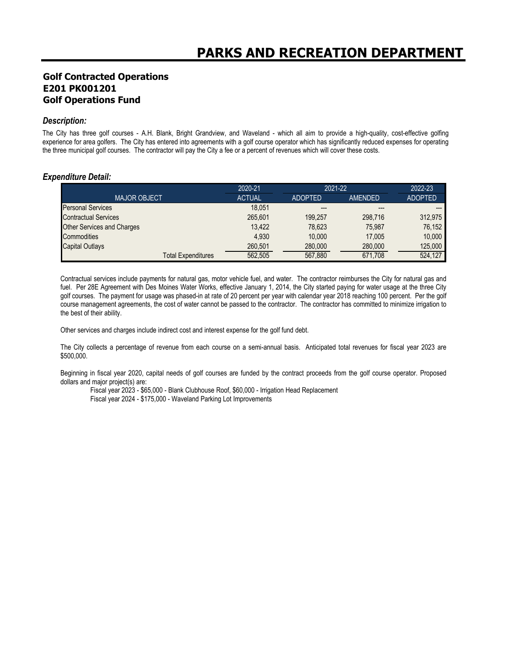## **Golf Contracted Operations E201 PK001201 Golf Operations Fund**

#### *Description:*

The City has three golf courses - A.H. Blank, Bright Grandview, and Waveland - which all aim to provide a high-quality, cost-effective golfing experience for area golfers. The City has entered into agreements with a golf course operator which has significantly reduced expenses for operating the three municipal golf courses. The contractor will pay the City a fee or a percent of revenues which will cover these costs.

#### *Expenditure Detail:*

|                             | 2020-21       | 2021-22        |         | 2022-23        |
|-----------------------------|---------------|----------------|---------|----------------|
| <b>MAJOR OBJECT</b>         | <b>ACTUAL</b> | <b>ADOPTED</b> | AMENDED | <b>ADOPTED</b> |
| <b>Personal Services</b>    | 18.051        | ---            | ---     |                |
| <b>Contractual Services</b> | 265.601       | 199.257        | 298.716 | 312,975        |
| Other Services and Charges  | 13.422        | 78,623         | 75.987  | 76.152         |
| Commodities                 | 4.930         | 10.000         | 17.005  | 10.000         |
| <b>Capital Outlays</b>      | 260.501       | 280,000        | 280,000 | 125,000        |
| <b>Total Expenditures</b>   | 562.505       | 567.880        | 671.708 | 524.127        |

Contractual services include payments for natural gas, motor vehicle fuel, and water. The contractor reimburses the City for natural gas and fuel. Per 28E Agreement with Des Moines Water Works, effective January 1, 2014, the City started paying for water usage at the three City golf courses. The payment for usage was phased-in at rate of 20 percent per year with calendar year 2018 reaching 100 percent. Per the golf course management agreements, the cost of water cannot be passed to the contractor. The contractor has committed to minimize irrigation to the best of their ability.

Other services and charges include indirect cost and interest expense for the golf fund debt.

The City collects a percentage of revenue from each course on a semi-annual basis. Anticipated total revenues for fiscal year 2023 are \$500,000.

Beginning in fiscal year 2020, capital needs of golf courses are funded by the contract proceeds from the golf course operator. Proposed dollars and major project(s) are:

Fiscal year 2023 - \$65,000 - Blank Clubhouse Roof, \$60,000 - Irrigation Head Replacement Fiscal year 2024 - \$175,000 - Waveland Parking Lot Improvements